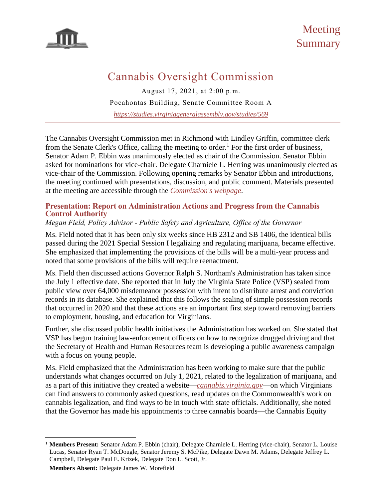

# Cannabis Oversight Commission

August 17, 2021, at 2:00 p.m.

Pocahontas Building, Senate Committee Room A

*<https://studies.virginiageneralassembly.gov/studies/569>*

The Cannabis Oversight Commission met in Richmond with Lindley Griffin, committee clerk from the Senate Clerk's Office, calling the meeting to order.<sup>1</sup> For the first order of business, Senator Adam P. Ebbin was unanimously elected as chair of the Commission. Senator Ebbin asked for nominations for vice-chair. Delegate Charniele L. Herring was unanimously elected as vice-chair of the Commission. Following opening remarks by Senator Ebbin and introductions, the meeting continued with presentations, discussion, and public comment. Materials presented at the meeting are accessible through the *[Commission's webpage](https://studies.virginiageneralassembly.gov/studies/569)*.

#### **Presentation: Report on Administration Actions and Progress from the Cannabis Control Authority**

### *Megan Field, Policy Advisor - Public Safety and Agriculture, Office of the Governor*

Ms. Field noted that it has been only six weeks since HB 2312 and SB 1406, the identical bills passed during the 2021 Special Session I legalizing and regulating marijuana, became effective. She emphasized that implementing the provisions of the bills will be a multi-year process and noted that some provisions of the bills will require reenactment.

Ms. Field then discussed actions Governor Ralph S. Northam's Administration has taken since the July 1 effective date. She reported that in July the Virginia State Police (VSP) sealed from public view over 64,000 misdemeanor possession with intent to distribute arrest and conviction records in its database. She explained that this follows the sealing of simple possession records that occurred in 2020 and that these actions are an important first step toward removing barriers to employment, housing, and education for Virginians.

Further, she discussed public health initiatives the Administration has worked on. She stated that VSP has begun training law-enforcement officers on how to recognize drugged driving and that the Secretary of Health and Human Resources team is developing a public awareness campaign with a focus on young people.

Ms. Field emphasized that the Administration has been working to make sure that the public understands what changes occurred on July 1, 2021, related to the legalization of marijuana, and as a part of this initiative they created a website—*[cannabis.virginia.gov](https://www.cannabis.virginia.gov/)*—on which Virginians can find answers to commonly asked questions, read updates on the Commonwealth's work on cannabis legalization, and find ways to be in touch with state officials. Additionally, she noted that the Governor has made his appointments to three cannabis boards—the Cannabis Equity

**Members Absent:** Delegate James W. Morefield

 $\overline{\phantom{a}}$ <sup>1</sup> Members Present: Senator Adam P. Ebbin (chair), Delegate Charniele L. Herring (vice-chair), Senator L. Louise Lucas, Senator Ryan T. McDougle, Senator Jeremy S. McPike, Delegate Dawn M. Adams, Delegate Jeffrey L. Campbell, Delegate Paul E. Krizek, Delegate Don L. Scott, Jr.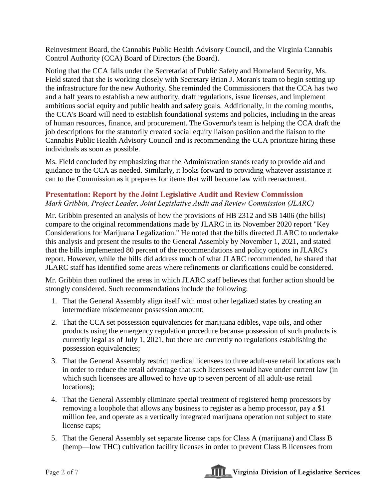Reinvestment Board, the Cannabis Public Health Advisory Council, and the Virginia Cannabis Control Authority (CCA) Board of Directors (the Board).

Noting that the CCA falls under the Secretariat of Public Safety and Homeland Security, Ms. Field stated that she is working closely with Secretary Brian J. Moran's team to begin setting up the infrastructure for the new Authority. She reminded the Commissioners that the CCA has two and a half years to establish a new authority, draft regulations, issue licenses, and implement ambitious social equity and public health and safety goals. Additionally, in the coming months, the CCA's Board will need to establish foundational systems and policies, including in the areas of human resources, finance, and procurement. The Governor's team is helping the CCA draft the job descriptions for the statutorily created social equity liaison position and the liaison to the Cannabis Public Health Advisory Council and is recommending the CCA prioritize hiring these individuals as soon as possible.

Ms. Field concluded by emphasizing that the Administration stands ready to provide aid and guidance to the CCA as needed. Similarly, it looks forward to providing whatever assistance it can to the Commission as it prepares for items that will become law with reenactment.

## **Presentation: Report by the Joint Legislative Audit and Review Commission**

*Mark Gribbin, Project Leader, Joint Legislative Audit and Review Commission (JLARC)*

Mr. Gribbin presented an analysis of how the provisions of HB 2312 and SB 1406 (the bills) compare to the original recommendations made by JLARC in its November 2020 report "Key Considerations for Marijuana Legalization." He noted that the bills directed JLARC to undertake this analysis and present the results to the General Assembly by November 1, 2021, and stated that the bills implemented 80 percent of the recommendations and policy options in JLARC's report. However, while the bills did address much of what JLARC recommended, he shared that JLARC staff has identified some areas where refinements or clarifications could be considered.

Mr. Gribbin then outlined the areas in which JLARC staff believes that further action should be strongly considered. Such recommendations include the following:

- 1. That the General Assembly align itself with most other legalized states by creating an intermediate misdemeanor possession amount;
- 2. That the CCA set possession equivalencies for marijuana edibles, vape oils, and other products using the emergency regulation procedure because possession of such products is currently legal as of July 1, 2021, but there are currently no regulations establishing the possession equivalencies;
- 3. That the General Assembly restrict medical licensees to three adult-use retail locations each in order to reduce the retail advantage that such licensees would have under current law (in which such licensees are allowed to have up to seven percent of all adult-use retail locations);
- 4. That the General Assembly eliminate special treatment of registered hemp processors by removing a loophole that allows any business to register as a hemp processor, pay a \$1 million fee, and operate as a vertically integrated marijuana operation not subject to state license caps;
- 5. That the General Assembly set separate license caps for Class A (marijuana) and Class B (hemp—low THC) cultivation facility licenses in order to prevent Class B licensees from

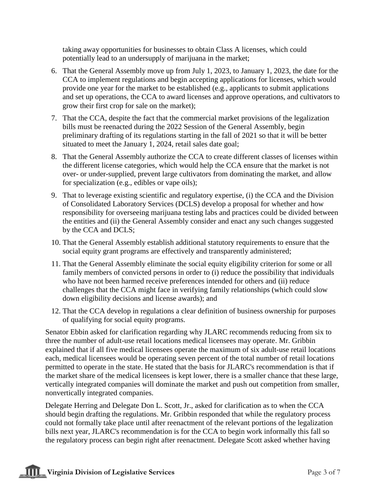taking away opportunities for businesses to obtain Class A licenses, which could potentially lead to an undersupply of marijuana in the market;

- 6. That the General Assembly move up from July 1, 2023, to January 1, 2023, the date for the CCA to implement regulations and begin accepting applications for licenses, which would provide one year for the market to be established (e.g., applicants to submit applications and set up operations, the CCA to award licenses and approve operations, and cultivators to grow their first crop for sale on the market);
- 7. That the CCA, despite the fact that the commercial market provisions of the legalization bills must be reenacted during the 2022 Session of the General Assembly, begin preliminary drafting of its regulations starting in the fall of 2021 so that it will be better situated to meet the January 1, 2024, retail sales date goal;
- 8. That the General Assembly authorize the CCA to create different classes of licenses within the different license categories, which would help the CCA ensure that the market is not over- or under-supplied, prevent large cultivators from dominating the market, and allow for specialization (e.g., edibles or vape oils);
- 9. That to leverage existing scientific and regulatory expertise, (i) the CCA and the Division of Consolidated Laboratory Services (DCLS) develop a proposal for whether and how responsibility for overseeing marijuana testing labs and practices could be divided between the entities and (ii) the General Assembly consider and enact any such changes suggested by the CCA and DCLS;
- 10. That the General Assembly establish additional statutory requirements to ensure that the social equity grant programs are effectively and transparently administered;
- 11. That the General Assembly eliminate the social equity eligibility criterion for some or all family members of convicted persons in order to (i) reduce the possibility that individuals who have not been harmed receive preferences intended for others and (ii) reduce challenges that the CCA might face in verifying family relationships (which could slow down eligibility decisions and license awards); and
- 12. That the CCA develop in regulations a clear definition of business ownership for purposes of qualifying for social equity programs.

Senator Ebbin asked for clarification regarding why JLARC recommends reducing from six to three the number of adult-use retail locations medical licensees may operate. Mr. Gribbin explained that if all five medical licensees operate the maximum of six adult-use retail locations each, medical licensees would be operating seven percent of the total number of retail locations permitted to operate in the state. He stated that the basis for JLARC's recommendation is that if the market share of the medical licensees is kept lower, there is a smaller chance that these large, vertically integrated companies will dominate the market and push out competition from smaller, nonvertically integrated companies.

Delegate Herring and Delegate Don L. Scott, Jr., asked for clarification as to when the CCA should begin drafting the regulations. Mr. Gribbin responded that while the regulatory process could not formally take place until after reenactment of the relevant portions of the legalization bills next year, JLARC's recommendation is for the CCA to begin work informally this fall so the regulatory process can begin right after reenactment. Delegate Scott asked whether having

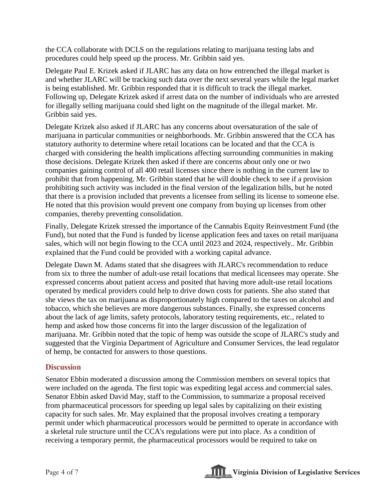the CCA collaborate with DCLS on the regulations relating to marijuana testing labs and procedures could help speed up the process. Mr. Gribbin said yes.

Delegate Paul E. Krizek asked if JLARC has any data on how entrenched the illegal market is and whether JLARC will be tracking such data over the next several years while the legal market is being established. Mr. Gribbin responded that it is difficult to track the illegal market. Following up, Delegate Krizek asked if arrest data on the number of individuals who are arrested for illegally selling marijuana could shed light on the magnitude of the illegal market. Mr. Gribbin said yes.

Delegate Krizek also asked if JLARC has any concerns about oversaturation of the sale of marijuana in particular communities or neighborhoods. Mr. Gribbin answered that the CCA has statutory authority to determine where retail locations can be located and that the CCA is charged with considering the health implications affecting surrounding communities in making those decisions. Delegate Krizek then asked if there are concerns about only one or two companies gaining control of all 400 retail licenses since there is nothing in the current law to prohibit that from happening. Mr. Gribbin stated that he will double check to see if a provision prohibiting such activity was included in the final version of the legalization bills, but he noted that there is a provision included that prevents a licensee from selling its license to someone else. He noted that this provision would prevent one company from buying up licenses from other companies, thereby preventing consolidation.

Finally, Delegate Krizek stressed the importance of the Cannabis Equity Reinvestment Fund (the Fund), but noted that the Fund is funded by license application fees and taxes on retail marijuana sales, which will not begin flowing to the CCA until 2023 and 2024, respectively.. Mr. Gribbin explained that the Fund could be provided with a working capital advance.

Delegate Dawn M. Adams stated that she disagrees with JLARC's recommendation to reduce from six to three the number of adult-use retail locations that medical licensees may operate. She expressed concerns about patient access and posited that having more adult-use retail locations operated by medical providers could help to drive down costs for patients. She also stated that she views the tax on marijuana as disproportionately high compared to the taxes on alcohol and tobacco, which she believes are more dangerous substances. Finally, she expressed concerns about the lack of age limits, safety protocols, laboratory testing requirements, etc., related to hemp and asked how those concerns fit into the larger discussion of the legalization of marijuana. Mr. Gribbin noted that the topic of hemp was outside the scope of JLARC's study and suggested that the Virginia Department of Agriculture and Consumer Services, the lead regulator of hemp, be contacted for answers to those questions.

### **Discussion**

Senator Ebbin moderated a discussion among the Commission members on several topics that were included on the agenda. The first topic was expediting legal access and commercial sales. Senator Ebbin asked David May, staff to the Commission, to summarize a proposal received from pharmaceutical processors for speeding up legal sales by capitalizing on their existing capacity for such sales. Mr. May explained that the proposal involves creating a temporary permit under which pharmaceutical processors would be permitted to operate in accordance with a skeletal rule structure until the CCA's regulations were put into place. As a condition of receiving a temporary permit, the pharmaceutical processors would be required to take on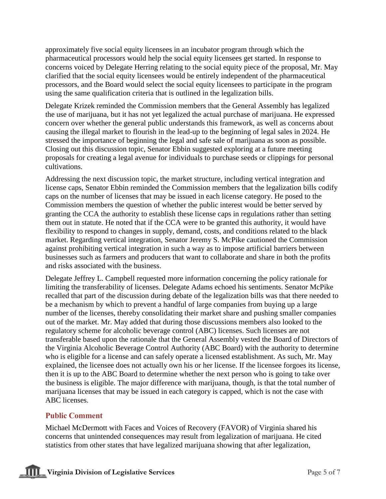approximately five social equity licensees in an incubator program through which the pharmaceutical processors would help the social equity licensees get started. In response to concerns voiced by Delegate Herring relating to the social equity piece of the proposal, Mr. May clarified that the social equity licensees would be entirely independent of the pharmaceutical processors, and the Board would select the social equity licensees to participate in the program using the same qualification criteria that is outlined in the legalization bills.

Delegate Krizek reminded the Commission members that the General Assembly has legalized the use of marijuana, but it has not yet legalized the actual purchase of marijuana. He expressed concern over whether the general public understands this framework, as well as concerns about causing the illegal market to flourish in the lead-up to the beginning of legal sales in 2024. He stressed the importance of beginning the legal and safe sale of marijuana as soon as possible. Closing out this discussion topic, Senator Ebbin suggested exploring at a future meeting proposals for creating a legal avenue for individuals to purchase seeds or clippings for personal cultivations.

Addressing the next discussion topic, the market structure, including vertical integration and license caps, Senator Ebbin reminded the Commission members that the legalization bills codify caps on the number of licenses that may be issued in each license category. He posed to the Commission members the question of whether the public interest would be better served by granting the CCA the authority to establish these license caps in regulations rather than setting them out in statute. He noted that if the CCA were to be granted this authority, it would have flexibility to respond to changes in supply, demand, costs, and conditions related to the black market. Regarding vertical integration, Senator Jeremy S. McPike cautioned the Commission against prohibiting vertical integration in such a way as to impose artificial barriers between businesses such as farmers and producers that want to collaborate and share in both the profits and risks associated with the business.

Delegate Jeffrey L. Campbell requested more information concerning the policy rationale for limiting the transferability of licenses. Delegate Adams echoed his sentiments. Senator McPike recalled that part of the discussion during debate of the legalization bills was that there needed to be a mechanism by which to prevent a handful of large companies from buying up a large number of the licenses, thereby consolidating their market share and pushing smaller companies out of the market. Mr. May added that during those discussions members also looked to the regulatory scheme for alcoholic beverage control (ABC) licenses. Such licenses are not transferable based upon the rationale that the General Assembly vested the Board of Directors of the Virginia Alcoholic Beverage Control Authority (ABC Board) with the authority to determine who is eligible for a license and can safely operate a licensed establishment. As such, Mr. May explained, the licensee does not actually own his or her license. If the licensee forgoes its license, then it is up to the ABC Board to determine whether the next person who is going to take over the business is eligible. The major difference with marijuana, though, is that the total number of marijuana licenses that may be issued in each category is capped, which is not the case with ABC licenses.

#### **Public Comment**

Michael McDermott with Faces and Voices of Recovery (FAVOR) of Virginia shared his concerns that unintended consequences may result from legalization of marijuana. He cited statistics from other states that have legalized marijuana showing that after legalization,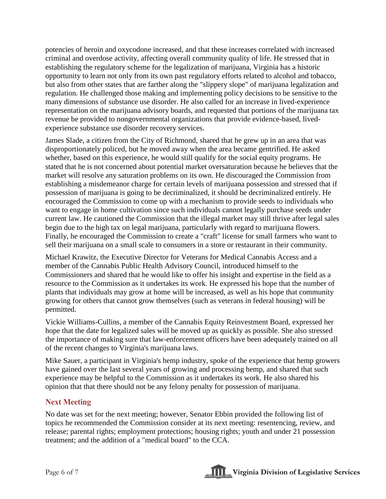potencies of heroin and oxycodone increased, and that these increases correlated with increased criminal and overdose activity, affecting overall community quality of life. He stressed that in establishing the regulatory scheme for the legalization of marijuana, Virginia has a historic opportunity to learn not only from its own past regulatory efforts related to alcohol and tobacco, but also from other states that are farther along the "slippery slope" of marijuana legalization and regulation. He challenged those making and implementing policy decisions to be sensitive to the many dimensions of substance use disorder. He also called for an increase in lived-experience representation on the marijuana advisory boards, and requested that portions of the marijuana tax revenue be provided to nongovernmental organizations that provide evidence-based, livedexperience substance use disorder recovery services.

James Slade, a citizen from the City of Richmond, shared that he grew up in an area that was disproportionately policed, but he moved away when the area became gentrified. He asked whether, based on this experience, he would still qualify for the social equity programs. He stated that he is not concerned about potential market oversaturation because he believes that the market will resolve any saturation problems on its own. He discouraged the Commission from establishing a misdemeanor charge for certain levels of marijuana possession and stressed that if possession of marijuana is going to be decriminalized, it should be decriminalized entirely. He encouraged the Commission to come up with a mechanism to provide seeds to individuals who want to engage in home cultivation since such individuals cannot legally purchase seeds under current law. He cautioned the Commission that the illegal market may still thrive after legal sales begin due to the high tax on legal marijuana, particularly with regard to marijuana flowers. Finally, he encouraged the Commission to create a "craft" license for small farmers who want to sell their marijuana on a small scale to consumers in a store or restaurant in their community.

Michael Krawitz, the Executive Director for Veterans for Medical Cannabis Access and a member of the Cannabis Public Health Advisory Council, introduced himself to the Commissioners and shared that he would like to offer his insight and expertise in the field as a resource to the Commission as it undertakes its work. He expressed his hope that the number of plants that individuals may grow at home will be increased, as well as his hope that community growing for others that cannot grow themselves (such as veterans in federal housing) will be permitted.

Vickie Williams-Cullins, a member of the Cannabis Equity Reinvestment Board, expressed her hope that the date for legalized sales will be moved up as quickly as possible. She also stressed the importance of making sure that law-enforcement officers have been adequately trained on all of the recent changes to Virginia's marijuana laws.

Mike Sauer, a participant in Virginia's hemp industry, spoke of the experience that hemp growers have gained over the last several years of growing and processing hemp, and shared that such experience may be helpful to the Commission as it undertakes its work. He also shared his opinion that that there should not be any felony penalty for possession of marijuana.

### **Next Meeting**

No date was set for the next meeting; however, Senator Ebbin provided the following list of topics he recommended the Commission consider at its next meeting: resentencing, review, and release; parental rights; employment protections; housing rights; youth and under 21 possession treatment; and the addition of a "medical board" to the CCA.